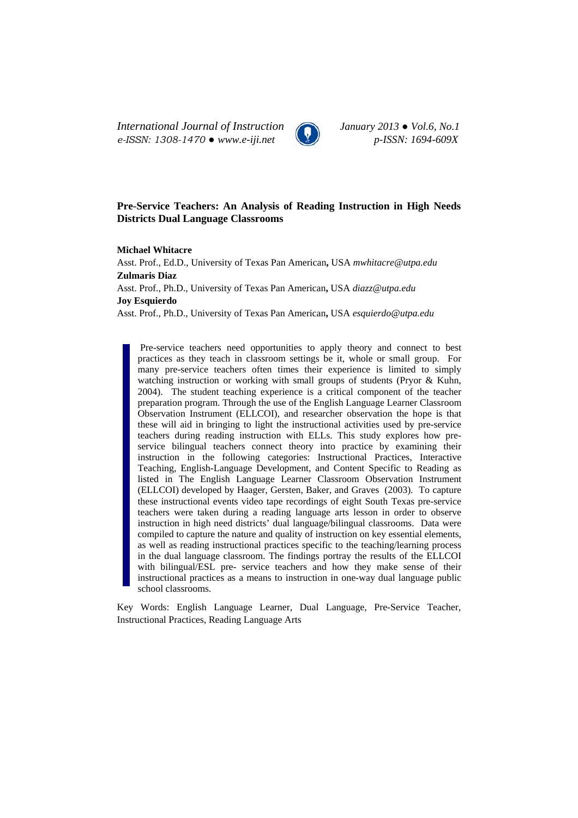*International Journal of Instruction January 2013 ● Vol.6, No.1 e-ISSN: 1308-1470 ● www.e-iji.net p-ISSN: 1694-609X*



# **Pre-Service Teachers: An Analysis of Reading Instruction in High Needs Districts Dual Language Classrooms**

### **Michael Whitacre**

Asst. Prof., Ed.D., University of Texas Pan American**,** USA *mwhitacre@utpa.edu* **Zulmaris Diaz**  Asst. Prof., Ph.D., University of Texas Pan American**,** USA *diazz@utpa.edu* **Joy Esquierdo** 

Asst. Prof., Ph.D., University of Texas Pan American**,** USA *esquierdo@utpa.edu*

Pre-service teachers need opportunities to apply theory and connect to best practices as they teach in classroom settings be it, whole or small group. For many pre-service teachers often times their experience is limited to simply watching instruction or working with small groups of students (Pryor & Kuhn, 2004). The student teaching experience is a critical component of the teacher preparation program. Through the use of the English Language Learner Classroom Observation Instrument (ELLCOI), and researcher observation the hope is that these will aid in bringing to light the instructional activities used by pre-service teachers during reading instruction with ELLs. This study explores how preservice bilingual teachers connect theory into practice by examining their instruction in the following categories: Instructional Practices, Interactive Teaching, English-Language Development, and Content Specific to Reading as listed in The English Language Learner Classroom Observation Instrument (ELLCOI) developed by Haager, Gersten, Baker, and Graves (2003). To capture these instructional events video tape recordings of eight South Texas pre-service teachers were taken during a reading language arts lesson in order to observe instruction in high need districts' dual language/bilingual classrooms. Data were compiled to capture the nature and quality of instruction on key essential elements, as well as reading instructional practices specific to the teaching/learning process in the dual language classroom. The findings portray the results of the ELLCOI with bilingual/ESL pre- service teachers and how they make sense of their instructional practices as a means to instruction in one-way dual language public school classrooms.

Key Words: English Language Learner, Dual Language, Pre-Service Teacher, Instructional Practices, Reading Language Arts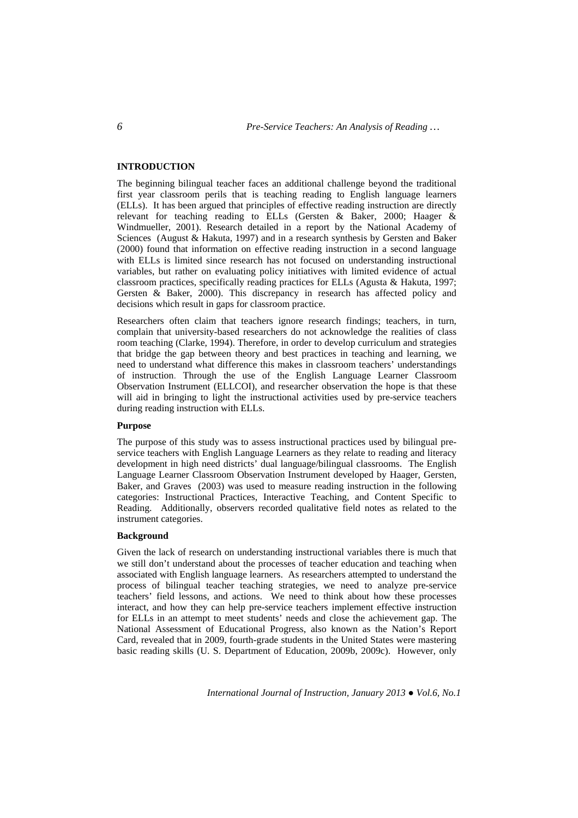# **INTRODUCTION**

The beginning bilingual teacher faces an additional challenge beyond the traditional first year classroom perils that is teaching reading to English language learners (ELLs). It has been argued that principles of effective reading instruction are directly relevant for teaching reading to ELLs (Gersten & Baker, 2000; Haager & Windmueller, 2001). Research detailed in a report by the National Academy of Sciences (August & Hakuta, 1997) and in a research synthesis by Gersten and Baker (2000) found that information on effective reading instruction in a second language with ELLs is limited since research has not focused on understanding instructional variables, but rather on evaluating policy initiatives with limited evidence of actual classroom practices, specifically reading practices for ELLs (Agusta & Hakuta, 1997; Gersten & Baker, 2000). This discrepancy in research has affected policy and decisions which result in gaps for classroom practice.

Researchers often claim that teachers ignore research findings; teachers, in turn, complain that university-based researchers do not acknowledge the realities of class room teaching (Clarke, 1994). Therefore, in order to develop curriculum and strategies that bridge the gap between theory and best practices in teaching and learning, we need to understand what difference this makes in classroom teachers' understandings of instruction. Through the use of the English Language Learner Classroom Observation Instrument (ELLCOI), and researcher observation the hope is that these will aid in bringing to light the instructional activities used by pre-service teachers during reading instruction with ELLs.

#### **Purpose**

The purpose of this study was to assess instructional practices used by bilingual preservice teachers with English Language Learners as they relate to reading and literacy development in high need districts' dual language/bilingual classrooms. The English Language Learner Classroom Observation Instrument developed by Haager, Gersten, Baker, and Graves (2003) was used to measure reading instruction in the following categories: Instructional Practices, Interactive Teaching, and Content Specific to Reading. Additionally, observers recorded qualitative field notes as related to the instrument categories.

#### **Background**

Given the lack of research on understanding instructional variables there is much that we still don't understand about the processes of teacher education and teaching when associated with English language learners. As researchers attempted to understand the process of bilingual teacher teaching strategies, we need to analyze pre-service teachers' field lessons, and actions. We need to think about how these processes interact, and how they can help pre-service teachers implement effective instruction for ELLs in an attempt to meet students' needs and close the achievement gap. The National Assessment of Educational Progress, also known as the Nation's Report Card, revealed that in 2009, fourth-grade students in the United States were mastering basic reading skills (U. S. Department of Education, 2009b, 2009c). However, only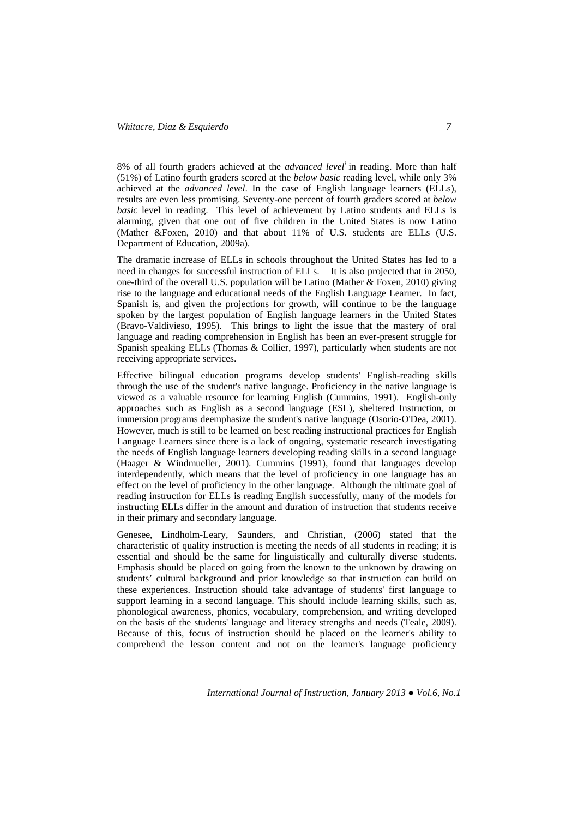8% of all fourth graders achieved at the *advanced leveli* in reading. More than half (51%) of Latino fourth graders scored at the *below basic* reading level, while only 3% achieved at the *advanced level*. In the case of English language learners (ELLs), results are even less promising. Seventy-one percent of fourth graders scored at *below basic* level in reading. This level of achievement by Latino students and ELLs is alarming, given that one out of five children in the United States is now Latino (Mather &Foxen, 2010) and that about 11% of U.S. students are ELLs (U.S. Department of Education, 2009a).

The dramatic increase of ELLs in schools throughout the United States has led to a need in changes for successful instruction of ELLs. It is also projected that in 2050, one-third of the overall U.S. population will be Latino (Mather & Foxen, 2010) giving rise to the language and educational needs of the English Language Learner. In fact, Spanish is, and given the projections for growth, will continue to be the language spoken by the largest population of English language learners in the United States (Bravo-Valdivieso, 1995). This brings to light the issue that the mastery of oral language and reading comprehension in English has been an ever-present struggle for Spanish speaking ELLs (Thomas & Collier, 1997), particularly when students are not receiving appropriate services.

Effective bilingual education programs develop students' English-reading skills through the use of the student's native language. Proficiency in the native language is viewed as a valuable resource for learning English (Cummins, 1991). English-only approaches such as English as a second language (ESL), sheltered Instruction, or immersion programs deemphasize the student's native language (Osorio-O'Dea, 2001). However, much is still to be learned on best reading instructional practices for English Language Learners since there is a lack of ongoing, systematic research investigating the needs of English language learners developing reading skills in a second language (Haager & Windmueller, 2001). Cummins (1991), found that languages develop interdependently, which means that the level of proficiency in one language has an effect on the level of proficiency in the other language. Although the ultimate goal of reading instruction for ELLs is reading English successfully, many of the models for instructing ELLs differ in the amount and duration of instruction that students receive in their primary and secondary language.

Genesee, Lindholm-Leary, Saunders, and Christian, (2006) stated that the characteristic of quality instruction is meeting the needs of all students in reading; it is essential and should be the same for linguistically and culturally diverse students. Emphasis should be placed on going from the known to the unknown by drawing on students' cultural background and prior knowledge so that instruction can build on these experiences. Instruction should take advantage of students' first language to support learning in a second language. This should include learning skills, such as, phonological awareness, phonics, vocabulary, comprehension, and writing developed on the basis of the students' language and literacy strengths and needs (Teale, 2009). Because of this, focus of instruction should be placed on the learner's ability to comprehend the lesson content and not on the learner's language proficiency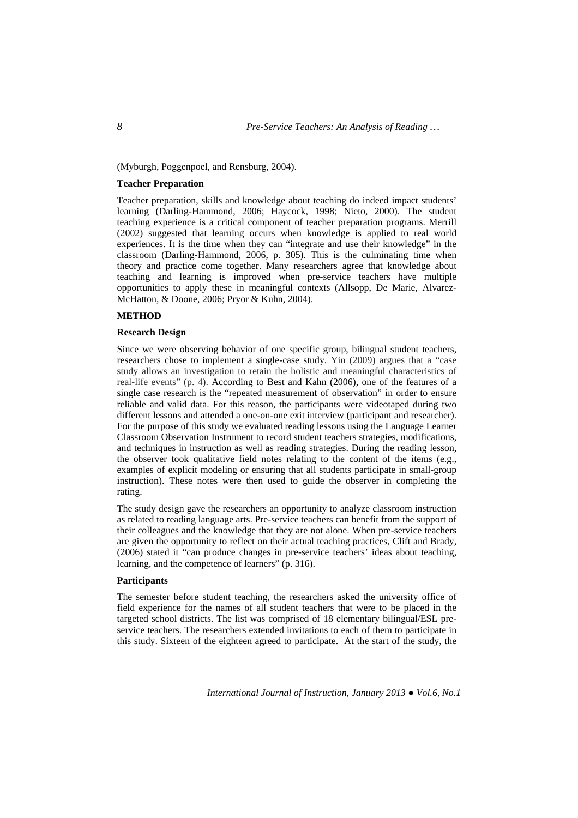(Myburgh, Poggenpoel, and Rensburg, 2004).

#### **Teacher Preparation**

Teacher preparation, skills and knowledge about teaching do indeed impact students' learning (Darling-Hammond, 2006; Haycock, 1998; Nieto, 2000). The student teaching experience is a critical component of teacher preparation programs. Merrill (2002) suggested that learning occurs when knowledge is applied to real world experiences. It is the time when they can "integrate and use their knowledge" in the classroom (Darling-Hammond, 2006, p. 305). This is the culminating time when theory and practice come together. Many researchers agree that knowledge about teaching and learning is improved when pre-service teachers have multiple opportunities to apply these in meaningful contexts (Allsopp, De Marie, Alvarez-McHatton, & Doone, 2006; Pryor & Kuhn, 2004).

# **METHOD**

#### **Research Design**

Since we were observing behavior of one specific group, bilingual student teachers, researchers chose to implement a single-case study. Yin (2009) argues that a "case study allows an investigation to retain the holistic and meaningful characteristics of real-life events" (p. 4). According to Best and Kahn (2006), one of the features of a single case research is the "repeated measurement of observation" in order to ensure reliable and valid data. For this reason, the participants were videotaped during two different lessons and attended a one-on-one exit interview (participant and researcher). For the purpose of this study we evaluated reading lessons using the Language Learner Classroom Observation Instrument to record student teachers strategies, modifications, and techniques in instruction as well as reading strategies. During the reading lesson, the observer took qualitative field notes relating to the content of the items (e.g., examples of explicit modeling or ensuring that all students participate in small-group instruction). These notes were then used to guide the observer in completing the rating.

The study design gave the researchers an opportunity to analyze classroom instruction as related to reading language arts. Pre-service teachers can benefit from the support of their colleagues and the knowledge that they are not alone. When pre-service teachers are given the opportunity to reflect on their actual teaching practices, Clift and Brady, (2006) stated it "can produce changes in pre-service teachers' ideas about teaching, learning, and the competence of learners" (p. 316).

## **Participants**

The semester before student teaching, the researchers asked the university office of field experience for the names of all student teachers that were to be placed in the targeted school districts. The list was comprised of 18 elementary bilingual/ESL preservice teachers. The researchers extended invitations to each of them to participate in this study. Sixteen of the eighteen agreed to participate. At the start of the study, the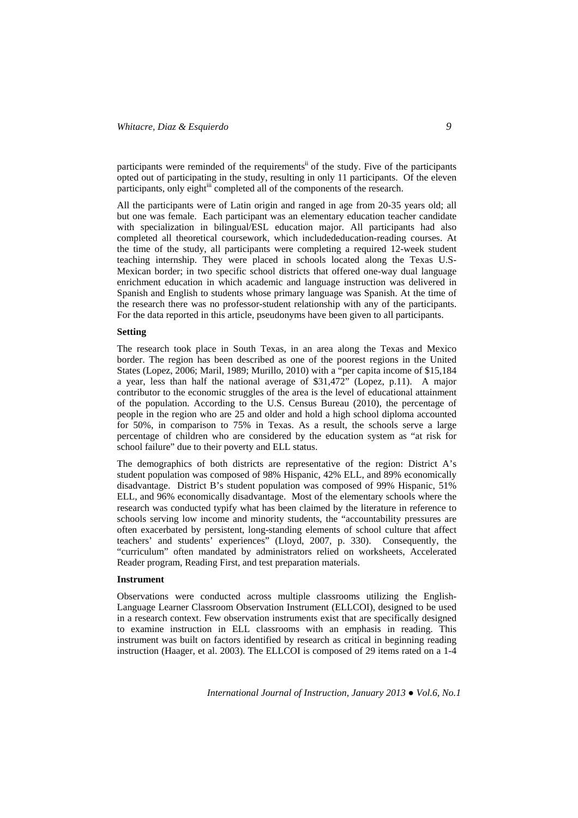participants were reminded of the requirements<sup>ii</sup> of the study. Five of the participants opted out of participating in the study, resulting in only 11 participants. Of the eleven participants, only eight<sup>iii</sup> completed all of the components of the research.

All the participants were of Latin origin and ranged in age from 20-35 years old; all but one was female. Each participant was an elementary education teacher candidate with specialization in bilingual/ESL education major. All participants had also completed all theoretical coursework, which includededucation-reading courses. At the time of the study, all participants were completing a required 12-week student teaching internship. They were placed in schools located along the Texas U.S-Mexican border; in two specific school districts that offered one-way dual language enrichment education in which academic and language instruction was delivered in Spanish and English to students whose primary language was Spanish. At the time of the research there was no professor-student relationship with any of the participants. For the data reported in this article, pseudonyms have been given to all participants.

# **Setting**

The research took place in South Texas, in an area along the Texas and Mexico border. The region has been described as one of the poorest regions in the United States (Lopez, 2006; Maril, 1989; Murillo, 2010) with a "per capita income of \$15,184 a year, less than half the national average of \$31,472" (Lopez, p.11). A major contributor to the economic struggles of the area is the level of educational attainment of the population. According to the U.S. Census Bureau (2010), the percentage of people in the region who are 25 and older and hold a high school diploma accounted for 50%, in comparison to 75% in Texas. As a result, the schools serve a large percentage of children who are considered by the education system as "at risk for school failure" due to their poverty and ELL status.

The demographics of both districts are representative of the region: District A's student population was composed of 98% Hispanic, 42% ELL, and 89% economically disadvantage. District B's student population was composed of 99% Hispanic, 51% ELL, and 96% economically disadvantage. Most of the elementary schools where the research was conducted typify what has been claimed by the literature in reference to schools serving low income and minority students, the "accountability pressures are often exacerbated by persistent, long-standing elements of school culture that affect teachers' and students' experiences" (Lloyd, 2007, p. 330). Consequently, the "curriculum" often mandated by administrators relied on worksheets, Accelerated Reader program, Reading First, and test preparation materials.

#### **Instrument**

Observations were conducted across multiple classrooms utilizing the English-Language Learner Classroom Observation Instrument (ELLCOI), designed to be used in a research context. Few observation instruments exist that are specifically designed to examine instruction in ELL classrooms with an emphasis in reading. This instrument was built on factors identified by research as critical in beginning reading instruction (Haager, et al. 2003). The ELLCOI is composed of 29 items rated on a 1-4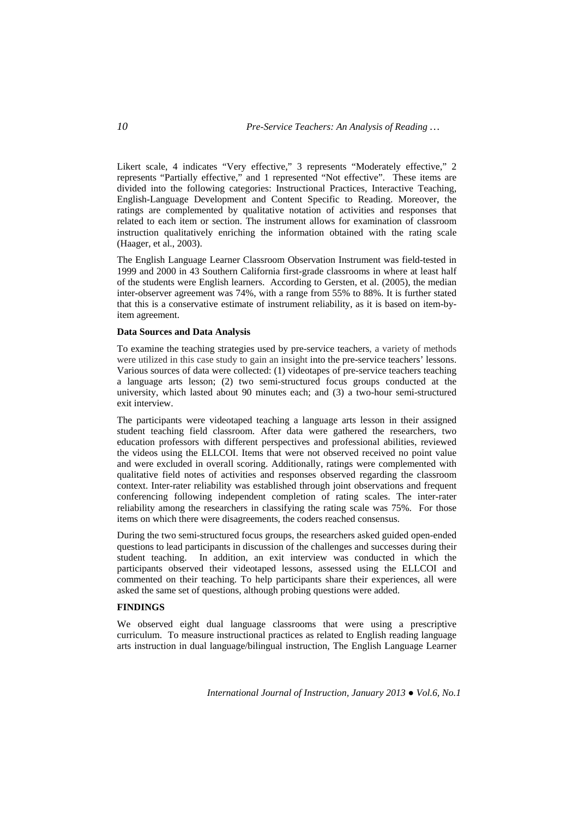Likert scale, 4 indicates "Very effective," 3 represents "Moderately effective," 2 represents "Partially effective," and 1 represented "Not effective". These items are divided into the following categories: Instructional Practices, Interactive Teaching, English-Language Development and Content Specific to Reading. Moreover, the ratings are complemented by qualitative notation of activities and responses that related to each item or section. The instrument allows for examination of classroom instruction qualitatively enriching the information obtained with the rating scale (Haager, et al., 2003).

The English Language Learner Classroom Observation Instrument was field-tested in 1999 and 2000 in 43 Southern California first-grade classrooms in where at least half of the students were English learners. According to Gersten, et al. (2005), the median inter-observer agreement was 74%, with a range from 55% to 88%. It is further stated that this is a conservative estimate of instrument reliability, as it is based on item-byitem agreement.

#### **Data Sources and Data Analysis**

To examine the teaching strategies used by pre-service teachers, a variety of methods were utilized in this case study to gain an insight into the pre-service teachers' lessons. Various sources of data were collected: (1) videotapes of pre-service teachers teaching a language arts lesson; (2) two semi-structured focus groups conducted at the university, which lasted about 90 minutes each; and (3) a two-hour semi-structured exit interview.

The participants were videotaped teaching a language arts lesson in their assigned student teaching field classroom. After data were gathered the researchers, two education professors with different perspectives and professional abilities, reviewed the videos using the ELLCOI. Items that were not observed received no point value and were excluded in overall scoring. Additionally, ratings were complemented with qualitative field notes of activities and responses observed regarding the classroom context. Inter-rater reliability was established through joint observations and frequent conferencing following independent completion of rating scales. The inter-rater reliability among the researchers in classifying the rating scale was 75%. For those items on which there were disagreements, the coders reached consensus.

During the two semi-structured focus groups, the researchers asked guided open-ended questions to lead participants in discussion of the challenges and successes during their student teaching. In addition, an exit interview was conducted in which the participants observed their videotaped lessons, assessed using the ELLCOI and commented on their teaching. To help participants share their experiences, all were asked the same set of questions, although probing questions were added.

# **FINDINGS**

We observed eight dual language classrooms that were using a prescriptive curriculum. To measure instructional practices as related to English reading language arts instruction in dual language/bilingual instruction, The English Language Learner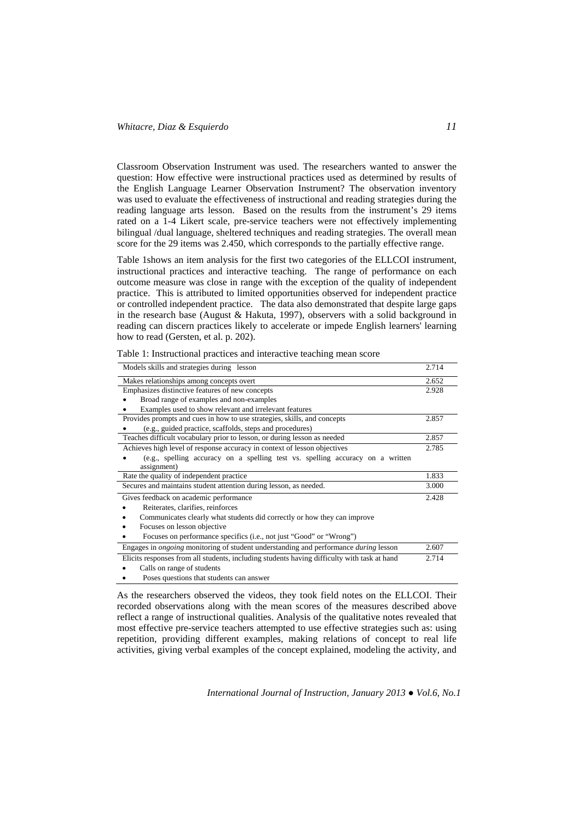Classroom Observation Instrument was used. The researchers wanted to answer the question: How effective were instructional practices used as determined by results of the English Language Learner Observation Instrument? The observation inventory was used to evaluate the effectiveness of instructional and reading strategies during the reading language arts lesson. Based on the results from the instrument's 29 items rated on a 1-4 Likert scale, pre-service teachers were not effectively implementing bilingual /dual language, sheltered techniques and reading strategies. The overall mean score for the 29 items was 2.450, which corresponds to the partially effective range.

Table 1shows an item analysis for the first two categories of the ELLCOI instrument, instructional practices and interactive teaching. The range of performance on each outcome measure was close in range with the exception of the quality of independent practice. This is attributed to limited opportunities observed for independent practice or controlled independent practice. The data also demonstrated that despite large gaps in the research base (August & Hakuta, 1997), observers with a solid background in reading can discern practices likely to accelerate or impede English learners' learning how to read (Gersten, et al. p. 202).

| Models skills and strategies during lesson                                                         |       |  |  |  |
|----------------------------------------------------------------------------------------------------|-------|--|--|--|
| Makes relationships among concepts overt                                                           |       |  |  |  |
| Emphasizes distinctive features of new concepts                                                    |       |  |  |  |
| Broad range of examples and non-examples                                                           |       |  |  |  |
| Examples used to show relevant and irrelevant features                                             |       |  |  |  |
| Provides prompts and cues in how to use strategies, skills, and concepts                           | 2.857 |  |  |  |
| (e.g., guided practice, scaffolds, steps and procedures)                                           |       |  |  |  |
| Teaches difficult vocabulary prior to lesson, or during lesson as needed                           | 2.857 |  |  |  |
| Achieves high level of response accuracy in context of lesson objectives                           | 2.785 |  |  |  |
| (e.g., spelling accuracy on a spelling test vs. spelling accuracy on a written                     |       |  |  |  |
| assignment)                                                                                        |       |  |  |  |
| Rate the quality of independent practice                                                           | 1.833 |  |  |  |
| Secures and maintains student attention during lesson, as needed.                                  | 3.000 |  |  |  |
| Gives feedback on academic performance                                                             | 2.428 |  |  |  |
| Reiterates, clarifies, reinforces                                                                  |       |  |  |  |
| Communicates clearly what students did correctly or how they can improve                           |       |  |  |  |
| Focuses on lesson objective                                                                        |       |  |  |  |
| Focuses on performance specifics (i.e., not just "Good" or "Wrong")                                |       |  |  |  |
| Engages in <i>ongoing</i> monitoring of student understanding and performance <i>during</i> lesson | 2.607 |  |  |  |
| Elicits responses from all students, including students having difficulty with task at hand        | 2.714 |  |  |  |
| Calls on range of students                                                                         |       |  |  |  |
| Poses questions that students can answer                                                           |       |  |  |  |

Table 1: Instructional practices and interactive teaching mean score

As the researchers observed the videos, they took field notes on the ELLCOI. Their recorded observations along with the mean scores of the measures described above reflect a range of instructional qualities. Analysis of the qualitative notes revealed that most effective pre-service teachers attempted to use effective strategies such as: using repetition, providing different examples, making relations of concept to real life activities, giving verbal examples of the concept explained, modeling the activity, and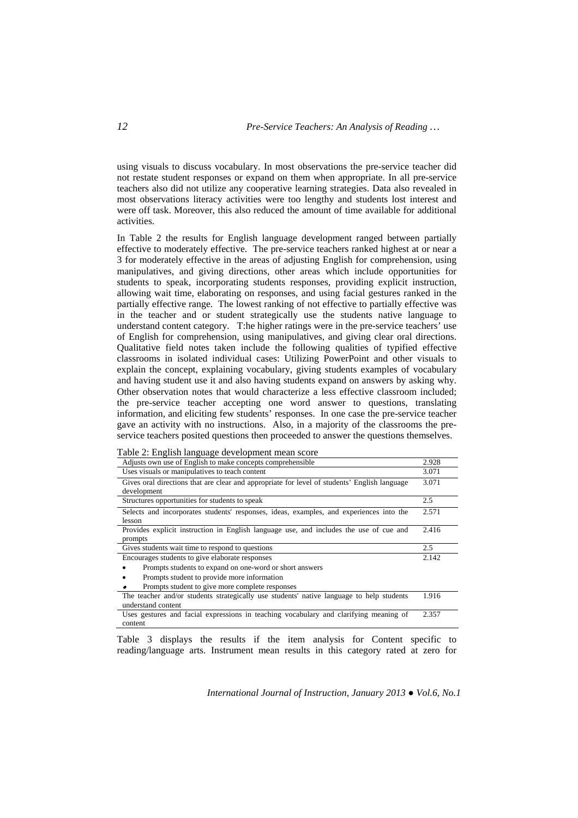using visuals to discuss vocabulary. In most observations the pre-service teacher did not restate student responses or expand on them when appropriate. In all pre-service teachers also did not utilize any cooperative learning strategies. Data also revealed in most observations literacy activities were too lengthy and students lost interest and were off task. Moreover, this also reduced the amount of time available for additional activities.

In Table 2 the results for English language development ranged between partially effective to moderately effective. The pre-service teachers ranked highest at or near a 3 for moderately effective in the areas of adjusting English for comprehension, using manipulatives, and giving directions, other areas which include opportunities for students to speak, incorporating students responses, providing explicit instruction, allowing wait time, elaborating on responses, and using facial gestures ranked in the partially effective range. The lowest ranking of not effective to partially effective was in the teacher and or student strategically use the students native language to understand content category. T:he higher ratings were in the pre-service teachers' use of English for comprehension, using manipulatives, and giving clear oral directions. Qualitative field notes taken include the following qualities of typified effective classrooms in isolated individual cases: Utilizing PowerPoint and other visuals to explain the concept, explaining vocabulary, giving students examples of vocabulary and having student use it and also having students expand on answers by asking why. Other observation notes that would characterize a less effective classroom included; the pre-service teacher accepting one word answer to questions, translating information, and eliciting few students' responses. In one case the pre-service teacher gave an activity with no instructions. Also, in a majority of the classrooms the preservice teachers posited questions then proceeded to answer the questions themselves.

|  |  | Table 2: English language development mean score |  |
|--|--|--------------------------------------------------|--|
|  |  |                                                  |  |

| raore 2. English language development mean secre                                             |       |
|----------------------------------------------------------------------------------------------|-------|
| Adjusts own use of English to make concepts comprehensible                                   | 2.928 |
| Uses visuals or manipulatives to teach content                                               | 3.071 |
| Gives oral directions that are clear and appropriate for level of students' English language | 3.071 |
| development                                                                                  |       |
| Structures opportunities for students to speak                                               | 2.5   |
| Selects and incorporates students' responses, ideas, examples, and experiences into the      | 2.571 |
| lesson                                                                                       |       |
| Provides explicit instruction in English language use, and includes the use of cue and       | 2.416 |
| prompts                                                                                      |       |
|                                                                                              |       |
| Gives students wait time to respond to questions                                             | 2.5   |
| Encourages students to give elaborate responses                                              | 2.142 |
| Prompts students to expand on one-word or short answers                                      |       |
| Prompts student to provide more information                                                  |       |
| Prompts student to give more complete responses                                              |       |
| The teacher and/or students strategically use students' native language to help students     | 1.916 |
| understand content                                                                           |       |
| Uses gestures and facial expressions in teaching vocabulary and clarifying meaning of        | 2.357 |

Table 3 displays the results if the item analysis for Content specific to reading/language arts. Instrument mean results in this category rated at zero for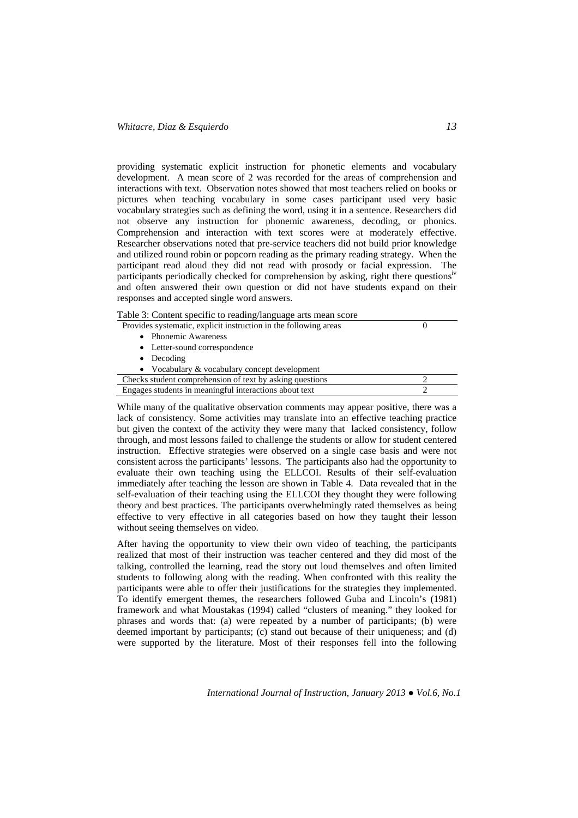providing systematic explicit instruction for phonetic elements and vocabulary development. A mean score of 2 was recorded for the areas of comprehension and interactions with text. Observation notes showed that most teachers relied on books or pictures when teaching vocabulary in some cases participant used very basic vocabulary strategies such as defining the word, using it in a sentence. Researchers did not observe any instruction for phonemic awareness, decoding, or phonics. Comprehension and interaction with text scores were at moderately effective. Researcher observations noted that pre-service teachers did not build prior knowledge and utilized round robin or popcorn reading as the primary reading strategy. When the participant read aloud they did not read with prosody or facial expression. The participants periodically checked for comprehension by asking, right there questions<sup>iv</sup> and often answered their own question or did not have students expand on their responses and accepted single word answers.

| Table 3: Content specific to reading/language arts mean score |
|---------------------------------------------------------------|
|---------------------------------------------------------------|

| Provides systematic, explicit instruction in the following areas |  |
|------------------------------------------------------------------|--|
| • Phonemic Awareness                                             |  |
| • Letter-sound correspondence                                    |  |
| Decoding<br>$\bullet$                                            |  |
| • Vocabulary $&$ vocabulary concept development                  |  |
| Checks student comprehension of text by asking questions         |  |
| Engages students in meaningful interactions about text           |  |
|                                                                  |  |

While many of the qualitative observation comments may appear positive, there was a lack of consistency. Some activities may translate into an effective teaching practice but given the context of the activity they were many that lacked consistency, follow through, and most lessons failed to challenge the students or allow for student centered instruction. Effective strategies were observed on a single case basis and were not consistent across the participants' lessons. The participants also had the opportunity to evaluate their own teaching using the ELLCOI. Results of their self-evaluation immediately after teaching the lesson are shown in Table 4. Data revealed that in the self-evaluation of their teaching using the ELLCOI they thought they were following theory and best practices. The participants overwhelmingly rated themselves as being effective to very effective in all categories based on how they taught their lesson without seeing themselves on video.

After having the opportunity to view their own video of teaching, the participants realized that most of their instruction was teacher centered and they did most of the talking, controlled the learning, read the story out loud themselves and often limited students to following along with the reading. When confronted with this reality the participants were able to offer their justifications for the strategies they implemented. To identify emergent themes, the researchers followed Guba and Lincoln's (1981) framework and what Moustakas (1994) called "clusters of meaning." they looked for phrases and words that: (a) were repeated by a number of participants; (b) were deemed important by participants; (c) stand out because of their uniqueness; and (d) were supported by the literature. Most of their responses fell into the following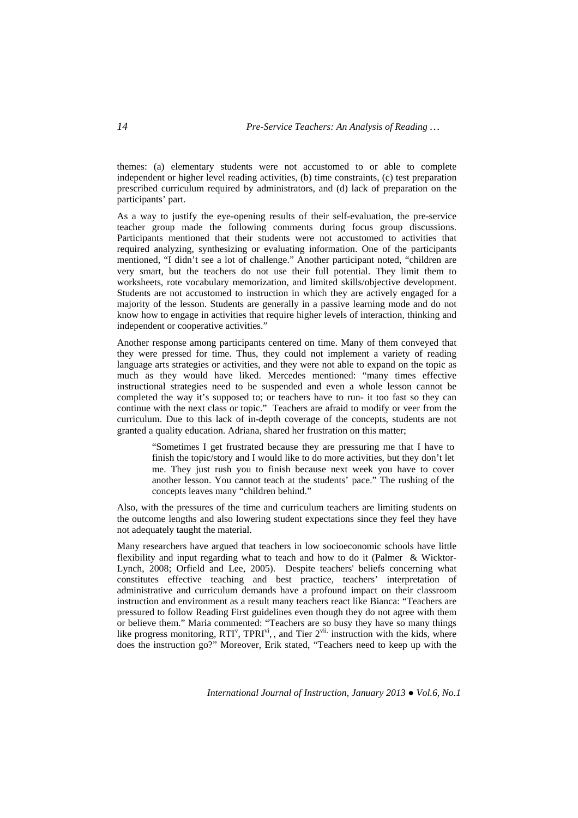themes: (a) elementary students were not accustomed to or able to complete independent or higher level reading activities, (b) time constraints, (c) test preparation prescribed curriculum required by administrators, and (d) lack of preparation on the participants' part.

As a way to justify the eye-opening results of their self-evaluation, the pre-service teacher group made the following comments during focus group discussions. Participants mentioned that their students were not accustomed to activities that required analyzing, synthesizing or evaluating information. One of the participants mentioned, "I didn't see a lot of challenge." Another participant noted, "children are very smart, but the teachers do not use their full potential. They limit them to worksheets, rote vocabulary memorization, and limited skills/objective development. Students are not accustomed to instruction in which they are actively engaged for a majority of the lesson. Students are generally in a passive learning mode and do not know how to engage in activities that require higher levels of interaction, thinking and independent or cooperative activities."

Another response among participants centered on time. Many of them conveyed that they were pressed for time. Thus, they could not implement a variety of reading language arts strategies or activities, and they were not able to expand on the topic as much as they would have liked. Mercedes mentioned: "many times effective instructional strategies need to be suspended and even a whole lesson cannot be completed the way it's supposed to; or teachers have to run- it too fast so they can continue with the next class or topic." Teachers are afraid to modify or veer from the curriculum. Due to this lack of in-depth coverage of the concepts, students are not granted a quality education. Adriana, shared her frustration on this matter;

> "Sometimes I get frustrated because they are pressuring me that I have to finish the topic/story and I would like to do more activities, but they don't let me. They just rush you to finish because next week you have to cover another lesson. You cannot teach at the students' pace." The rushing of the concepts leaves many "children behind."

Also, with the pressures of the time and curriculum teachers are limiting students on the outcome lengths and also lowering student expectations since they feel they have not adequately taught the material.

Many researchers have argued that teachers in low socioeconomic schools have little flexibility and input regarding what to teach and how to do it (Palmer & Wicktor-Lynch, 2008; Orfield and Lee, 2005). Despite teachers' beliefs concerning what constitutes effective teaching and best practice, teachers' interpretation of administrative and curriculum demands have a profound impact on their classroom instruction and environment as a result many teachers react like Bianca: "Teachers are pressured to follow Reading First guidelines even though they do not agree with them or believe them." Maria commented: "Teachers are so busy they have so many things like progress monitoring,  $RTI<sup>v</sup>$ ,  $TPRI<sup>v<sub>i</sub></sup>$ , and Tier  $2<sup>v<sub>ii</sub></sup>$  instruction with the kids, where does the instruction go?" Moreover, Erik stated, "Teachers need to keep up with the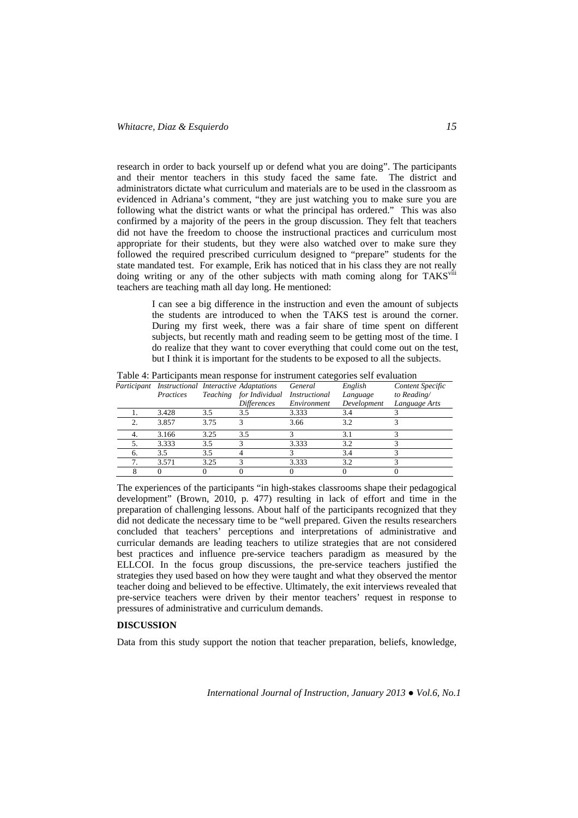research in order to back yourself up or defend what you are doing". The participants and their mentor teachers in this study faced the same fate. The district and administrators dictate what curriculum and materials are to be used in the classroom as evidenced in Adriana's comment, "they are just watching you to make sure you are following what the district wants or what the principal has ordered." This was also confirmed by a majority of the peers in the group discussion. They felt that teachers did not have the freedom to choose the instructional practices and curriculum most appropriate for their students, but they were also watched over to make sure they followed the required prescribed curriculum designed to "prepare" students for the state mandated test. For example, Erik has noticed that in his class they are not really doing writing or any of the other subjects with math coming along for TAKS<sup>viii</sup> teachers are teaching math all day long. He mentioned:

> I can see a big difference in the instruction and even the amount of subjects the students are introduced to when the TAKS test is around the corner. During my first week, there was a fair share of time spent on different subjects, but recently math and reading seem to be getting most of the time. I do realize that they want to cover everything that could come out on the test, but I think it is important for the students to be exposed to all the subjects.

|    | Participant Instructional Interactive Adaptations |      |                         | General              | English     | Content Specific |
|----|---------------------------------------------------|------|-------------------------|----------------------|-------------|------------------|
|    | Practices                                         |      | Teaching for Individual | <i>Instructional</i> | Language    | to Reading/      |
|    |                                                   |      | <b>Differences</b>      | Environment          | Development | Language Arts    |
|    | 3.428                                             | 3.5  | 3.5                     | 3.333                | 3.4         |                  |
|    | 3.857                                             | 3.75 |                         | 3.66                 | 32          |                  |
|    | 3.166                                             | 3.25 | 3.5                     |                      |             |                  |
|    | 3.333                                             | 3.5  |                         | 3.333                | 3.2         |                  |
| 6. | 3.5                                               | 3.5  |                         |                      | 3.4         |                  |
|    | 3.571                                             | 3.25 |                         | 3.333                | 3.2         |                  |
|    |                                                   |      |                         |                      |             |                  |

Table 4: Participants mean response for instrument categories self evaluation

The experiences of the participants "in high-stakes classrooms shape their pedagogical development" (Brown, 2010, p. 477) resulting in lack of effort and time in the preparation of challenging lessons. About half of the participants recognized that they did not dedicate the necessary time to be "well prepared. Given the results researchers concluded that teachers' perceptions and interpretations of administrative and curricular demands are leading teachers to utilize strategies that are not considered best practices and influence pre-service teachers paradigm as measured by the ELLCOI. In the focus group discussions, the pre-service teachers justified the strategies they used based on how they were taught and what they observed the mentor teacher doing and believed to be effective. Ultimately, the exit interviews revealed that pre-service teachers were driven by their mentor teachers' request in response to pressures of administrative and curriculum demands.

### **DISCUSSION**

Data from this study support the notion that teacher preparation, beliefs, knowledge,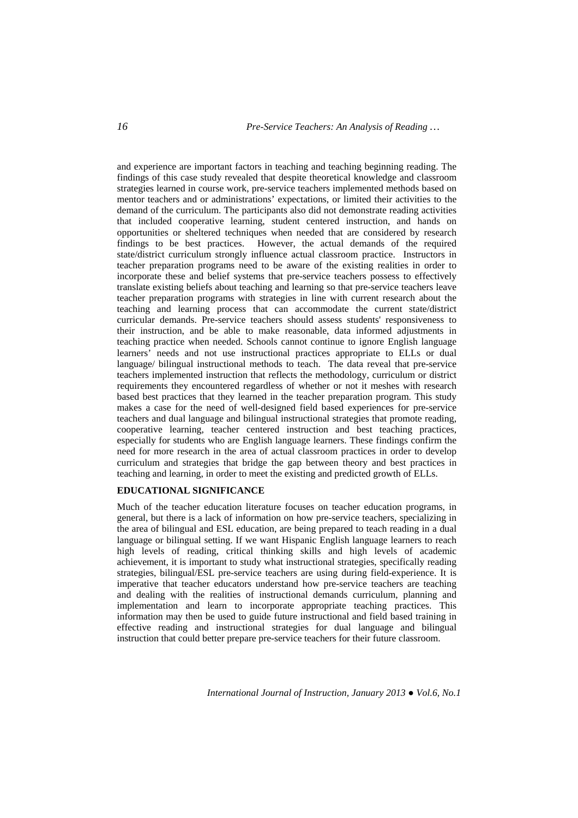and experience are important factors in teaching and teaching beginning reading. The findings of this case study revealed that despite theoretical knowledge and classroom strategies learned in course work, pre-service teachers implemented methods based on mentor teachers and or administrations' expectations, or limited their activities to the demand of the curriculum. The participants also did not demonstrate reading activities that included cooperative learning, student centered instruction, and hands on opportunities or sheltered techniques when needed that are considered by research findings to be best practices. However, the actual demands of the required state/district curriculum strongly influence actual classroom practice. Instructors in teacher preparation programs need to be aware of the existing realities in order to incorporate these and belief systems that pre-service teachers possess to effectively translate existing beliefs about teaching and learning so that pre-service teachers leave teacher preparation programs with strategies in line with current research about the teaching and learning process that can accommodate the current state/district curricular demands. Pre-service teachers should assess students' responsiveness to their instruction, and be able to make reasonable, data informed adjustments in teaching practice when needed. Schools cannot continue to ignore English language learners' needs and not use instructional practices appropriate to ELLs or dual language/ bilingual instructional methods to teach. The data reveal that pre-service teachers implemented instruction that reflects the methodology, curriculum or district requirements they encountered regardless of whether or not it meshes with research based best practices that they learned in the teacher preparation program. This study makes a case for the need of well-designed field based experiences for pre-service teachers and dual language and bilingual instructional strategies that promote reading, cooperative learning, teacher centered instruction and best teaching practices, especially for students who are English language learners. These findings confirm the need for more research in the area of actual classroom practices in order to develop curriculum and strategies that bridge the gap between theory and best practices in teaching and learning, in order to meet the existing and predicted growth of ELLs.

# **EDUCATIONAL SIGNIFICANCE**

Much of the teacher education literature focuses on teacher education programs, in general, but there is a lack of information on how pre-service teachers, specializing in the area of bilingual and ESL education, are being prepared to teach reading in a dual language or bilingual setting. If we want Hispanic English language learners to reach high levels of reading, critical thinking skills and high levels of academic achievement, it is important to study what instructional strategies, specifically reading strategies, bilingual/ESL pre-service teachers are using during field-experience. It is imperative that teacher educators understand how pre-service teachers are teaching and dealing with the realities of instructional demands curriculum, planning and implementation and learn to incorporate appropriate teaching practices. This information may then be used to guide future instructional and field based training in effective reading and instructional strategies for dual language and bilingual instruction that could better prepare pre-service teachers for their future classroom.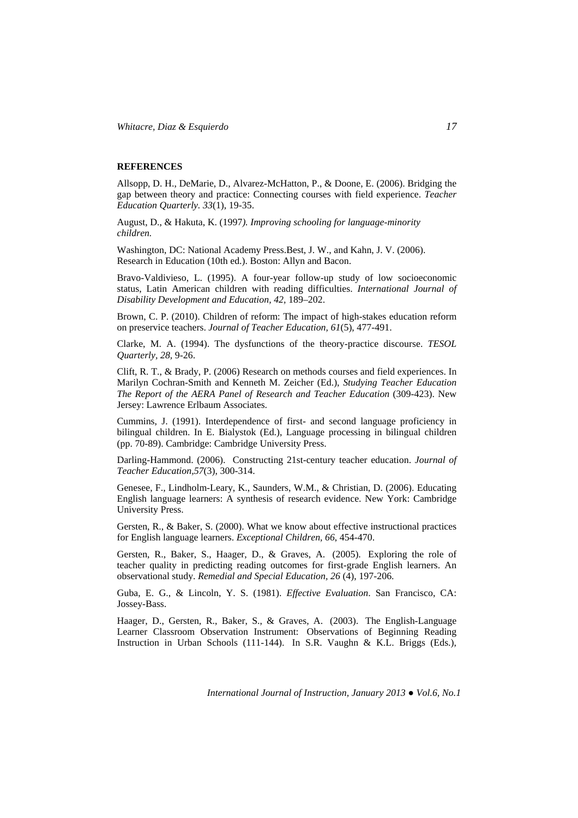*Whitacre, Diaz & Esquierdo 17* 

## **REFERENCES**

Allsopp, D. H., DeMarie, D., Alvarez-McHatton, P., & Doone, E. (2006). Bridging the gap between theory and practice: Connecting courses with field experience. *Teacher Education Quarterly. 33*(1), 19-35.

August, D., & Hakuta, K. (1997*). Improving schooling for language-minority children.*

Washington, DC: National Academy Press.Best, J. W., and Kahn, J. V. (2006). Research in Education (10th ed.). Boston: Allyn and Bacon.

Bravo-Valdivieso, L. (1995). A four-year follow-up study of low socioeconomic status, Latin American children with reading difficulties. *International Journal of Disability Development and Education, 42,* 189–202.

Brown, C. P. (2010). Children of reform: The impact of high-stakes education reform on preservice teachers. *Journal of Teacher Education, 61*(5), 477-491.

Clarke, M. A. (1994). The dysfunctions of the theory-practice discourse. *TESOL Quarterly, 28,* 9-26.

Clift, R. T., & Brady, P. (2006) Research on methods courses and field experiences. In Marilyn Cochran-Smith and Kenneth M. Zeicher (Ed.), *Studying Teacher Education The Report of the AERA Panel of Research and Teacher Education* (309-423). New Jersey: Lawrence Erlbaum Associates.

Cummins, J. (1991). Interdependence of first- and second language proficiency in bilingual children. In E. Bialystok (Ed.), Language processing in bilingual children (pp. 70-89). Cambridge: Cambridge University Press.

Darling-Hammond. (2006). Constructing 21st-century teacher education. *Journal of Teacher Education,57*(3), 300-314.

Genesee, F., Lindholm-Leary, K., Saunders, W.M., & Christian, D. (2006). Educating English language learners: A synthesis of research evidence. New York: Cambridge University Press.

Gersten, R., & Baker, S. (2000). What we know about effective instructional practices for English language learners. *Exceptional Children, 66*, 454-470.

Gersten, R., Baker, S., Haager, D., & Graves, A. (2005). Exploring the role of teacher quality in predicting reading outcomes for first-grade English learners. An observational study. *Remedial and Special Education, 26* (4), 197-206.

Guba, E. G., & Lincoln, Y. S. (1981). *Effective Evaluation*. San Francisco, CA: Jossey-Bass.

Haager, D., Gersten, R., Baker, S., & Graves, A. (2003). The English-Language Learner Classroom Observation Instrument: Observations of Beginning Reading Instruction in Urban Schools (111-144). In S.R. Vaughn & K.L. Briggs (Eds.),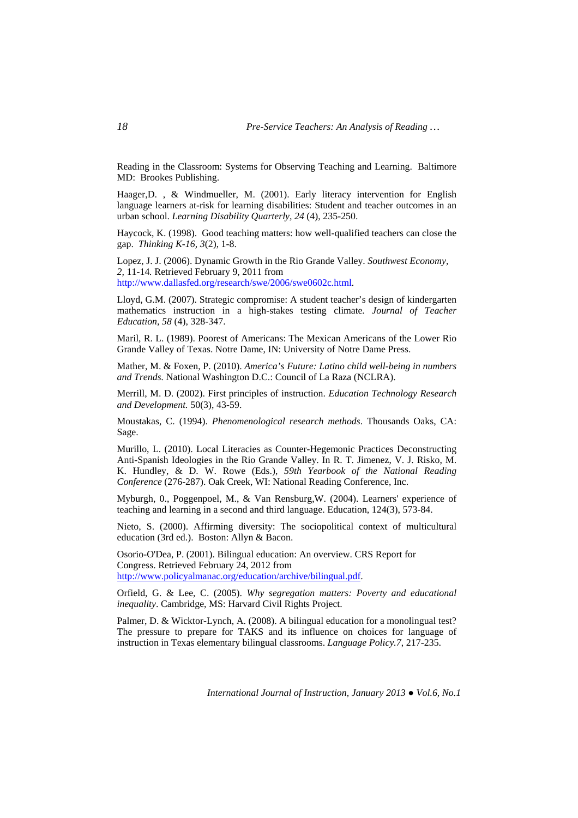Reading in the Classroom: Systems for Observing Teaching and Learning. Baltimore MD: Brookes Publishing.

Haager,D. , & Windmueller, M. (2001). Early literacy intervention for English language learners at-risk for learning disabilities: Student and teacher outcomes in an urban school. *Learning Disability Quarterly, 24* (4), 235-250.

Haycock, K. (1998). Good teaching matters: how well-qualified teachers can close the gap. *Thinking K-16, 3*(2), 1-8.

Lopez, J. J. (2006). Dynamic Growth in the Rio Grande Valley. *Southwest Economy, 2,* 11-14*.* Retrieved February 9, 2011 from http://www.dallasfed.org/research/swe/2006/swe0602c.html.

Lloyd, G.M. (2007). Strategic compromise: A student teacher's design of kindergarten mathematics instruction in a high-stakes testing climate*. Journal of Teacher Education, 58* (4), 328-347.

Maril, R. L. (1989). Poorest of Americans: The Mexican Americans of the Lower Rio Grande Valley of Texas. Notre Dame, IN: University of Notre Dame Press.

Mather, M. & Foxen, P. (2010). *America's Future: Latino child well-being in numbers and Trends.* National Washington D.C.: Council of La Raza (NCLRA).

Merrill, M. D. (2002). First principles of instruction. *Education Technology Research and Development.* 50(3), 43-59.

Moustakas, C. (1994). *Phenomenological research methods*. Thousands Oaks, CA: Sage.

Murillo, L. (2010). Local Literacies as Counter-Hegemonic Practices Deconstructing Anti-Spanish Ideologies in the Rio Grande Valley. In R. T. Jimenez, V. J. Risko, M. K. Hundley, & D. W. Rowe (Eds.), *59th Yearbook of the National Reading Conference* (276-287). Oak Creek, WI: National Reading Conference, Inc.

Myburgh, 0., Poggenpoel, M., & Van Rensburg,W. (2004). Learners' experience of teaching and learning in a second and third language. Education, 124(3), 573-84.

Nieto, S. (2000). Affirming diversity: The sociopolitical context of multicultural education (3rd ed.). Boston: Allyn & Bacon.

Osorio-O'Dea, P. (2001). Bilingual education: An overview. CRS Report for Congress. Retrieved February 24, 2012 from http://www.policyalmanac.org/education/archive/bilingual.pdf.

Orfield, G. & Lee, C. (2005). *Why segregation matters: Poverty and educational inequality*. Cambridge, MS: Harvard Civil Rights Project.

Palmer, D. & Wicktor-Lynch, A. (2008). A bilingual education for a monolingual test? The pressure to prepare for TAKS and its influence on choices for language of instruction in Texas elementary bilingual classrooms. *Language Policy.7*, 217-235.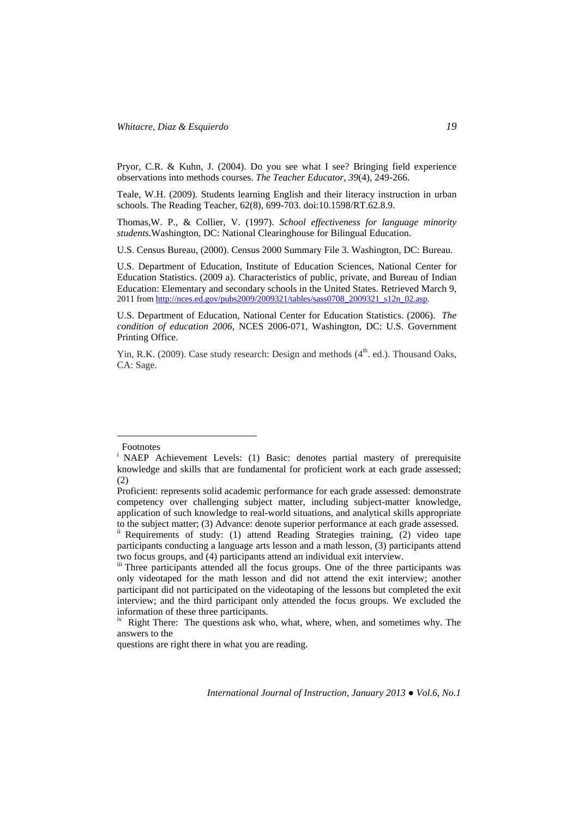Pryor, C.R. & Kuhn, J. (2004). Do you see what I see? Bringing field experience observations into methods courses. *The Teacher Educator, 39*(4), 249-266.

Teale, W.H. (2009). Students learning English and their literacy instruction in urban schools. The Reading Teacher, 62(8), 699-703. doi:10.1598/RT.62.8.9.

Thomas,W. P., & Collier, V. (1997). *School effectiveness for language minority students.*Washington, DC: National Clearinghouse for Bilingual Education.

U.S. Census Bureau, (2000). Census 2000 Summary File 3. Washington, DC: Bureau.

U.S. Department of Education, Institute of Education Sciences, National Center for Education Statistics. (2009 a). Characteristics of public, private, and Bureau of Indian Education: Elementary and secondary schools in the United States. Retrieved March 9, 2011 from http://nces.ed.gov/pubs2009/2009321/tables/sass0708\_2009321\_s12n\_02.asp.

U.S. Department of Education, National Center for Education Statistics. (2006). *The condition of education 2006,* NCES 2006-071, Washington, DC: U.S. Government Printing Office.

Yin, R.K. (2009). Case study research: Design and methods  $(4<sup>th</sup>$ . ed.). Thousand Oaks, CA: Sage.

 $\overline{a}$ 

Footnotes

<sup>&</sup>lt;sup>i</sup> NAEP Achievement Levels: (1) Basic: denotes partial mastery of prerequisite knowledge and skills that are fundamental for proficient work at each grade assessed; (2)

Proficient: represents solid academic performance for each grade assessed: demonstrate competency over challenging subject matter, including subject-matter knowledge, application of such knowledge to real-world situations, and analytical skills appropriate to the subject matter; (3) Advance: denote superior performance at each grade assessed.<br>ii Requirements of study: (1) attend Reading Strategies training, (2) video tape

participants conducting a language arts lesson and a math lesson, (3) participants attend two focus groups, and (4) participants attend an individual exit interview.

iii Three participants attended all the focus groups. One of the three participants was only videotaped for the math lesson and did not attend the exit interview; another participant did not participated on the videotaping of the lessons but completed the exit interview; and the third participant only attended the focus groups. We excluded the information of these three participants.

<sup>&</sup>lt;sup>iv</sup> Right There: The questions ask who, what, where, when, and sometimes why. The answers to the

questions are right there in what you are reading.